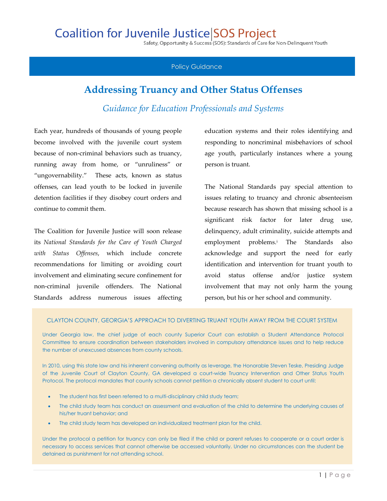## **Coalition for Juvenile Justice SOS Project**

Safety, Opportunity & Success (SOS): Standards of Care for Non-Delinquent Youth

## Policy Guidance

## **Addressing Truancy and Other Status Offenses**

*Guidance for Education Professionals and Systems*

Each year, hundreds of thousands of young people become involved with the juvenile court system because of non-criminal behaviors such as truancy, running away from home, or "unruliness" or "ungovernability." These acts, known as status offenses, can lead youth to be locked in juvenile detention facilities if they disobey court orders and continue to commit them.

The Coalition for Juvenile Justice will soon release its *National Standards for the Care of Youth Charged with Status Offenses*, which include concrete recommendations for limiting or avoiding court involvement and eliminating secure confinement for non-criminal juvenile offenders. The National Standards address numerous issues affecting

education systems and their roles identifying and responding to noncriminal misbehaviors of school age youth, particularly instances where a young person is truant.

The National Standards pay special attention to issues relating to truancy and chronic absenteeism because research has shown that missing school is a significant risk factor for later drug use, delinquency, adult criminality, suicide attempts and employment problems.<sup>i</sup> The Standards also acknowledge and support the need for early identification and intervention for truant youth to avoid status offense and/or justice system involvement that may not only harm the young person, but his or her school and community.

## CLAYTON COUNTY, GEORGIA'S APPROACH TO DIVERTING TRUANT YOUTH AWAY FROM THE COURT SYSTEM

Under Georgia law, the chief judge of each county Superior Court can establish a Student Attendance Protocol Committee to ensure coordination between stakeholders involved in compulsory attendance issues and to help reduce the number of unexcused absences from county schools.

In 2010, using this state law and his inherent convening authority as leverage, the Honorable Steven Teske, Presiding Judge of the Juvenile Court of Clayton County, GA developed a court-wide Truancy Intervention and Other Status Youth Protocol. The protocol mandates that county schools cannot petition a chronically absent student to court until:

- The student has first been referred to a multi-disciplinary child study team;
- The child study team has conduct an assessment and evaluation of the child to determine the underlying causes of his/her truant behavior; and
- The child study team has developed an individualized treatment plan for the child.

Under the protocol a petition for truancy can only be filed if the child or parent refuses to cooperate or a court order is necessary to access services that cannot otherwise be accessed voluntarily. Under no circumstances can the student be detained as punishment for not attending school.